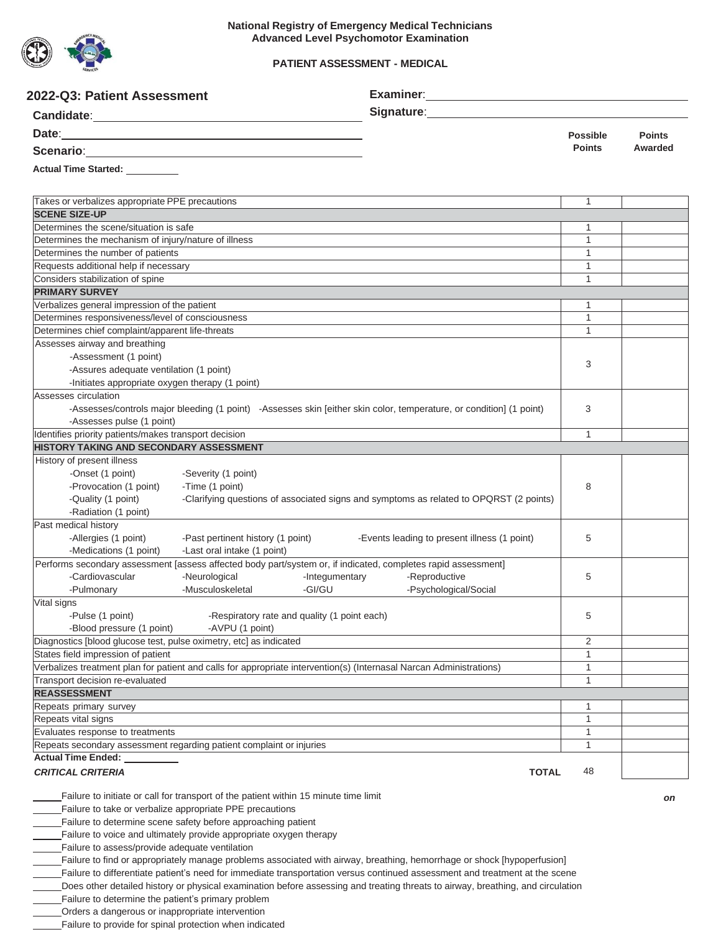

### **PATIENT ASSESSMENT - MEDICAL**

| 2022-Q3: Patient Assessment                                                                                                                       |                                              |                                                                                                                             |                              |               |
|---------------------------------------------------------------------------------------------------------------------------------------------------|----------------------------------------------|-----------------------------------------------------------------------------------------------------------------------------|------------------------------|---------------|
|                                                                                                                                                   |                                              | Signature: <u>Contract Communication</u>                                                                                    |                              |               |
| Date: <u>www.community.community.community.com</u>                                                                                                |                                              |                                                                                                                             | <b>Possible</b>              | <b>Points</b> |
| Scenario: <u>Campioneers</u>                                                                                                                      |                                              |                                                                                                                             | <b>Points</b>                | Awarded       |
| Actual Time Started: _________                                                                                                                    |                                              |                                                                                                                             |                              |               |
| Takes or verbalizes appropriate PPE precautions                                                                                                   |                                              |                                                                                                                             | 1                            |               |
| <b>SCENE SIZE-UP</b>                                                                                                                              |                                              |                                                                                                                             |                              |               |
| Determines the scene/situation is safe                                                                                                            |                                              |                                                                                                                             | 1                            |               |
| Determines the mechanism of injury/nature of illness                                                                                              |                                              |                                                                                                                             | 1                            |               |
| Determines the number of patients                                                                                                                 |                                              |                                                                                                                             | $\mathbf{1}$                 |               |
| Requests additional help if necessary                                                                                                             |                                              |                                                                                                                             | $\mathbf{1}$<br>$\mathbf{1}$ |               |
| Considers stabilization of spine<br><b>PRIMARY SURVEY</b>                                                                                         |                                              |                                                                                                                             |                              |               |
| Verbalizes general impression of the patient                                                                                                      |                                              |                                                                                                                             | 1                            |               |
| Determines responsiveness/level of consciousness                                                                                                  |                                              |                                                                                                                             | 1                            |               |
| Determines chief complaint/apparent life-threats                                                                                                  |                                              |                                                                                                                             | $\mathbf{1}$                 |               |
| Assesses airway and breathing                                                                                                                     |                                              |                                                                                                                             |                              |               |
| -Assessment (1 point)                                                                                                                             |                                              |                                                                                                                             |                              |               |
| -Assures adequate ventilation (1 point)                                                                                                           |                                              |                                                                                                                             | 3                            |               |
| -Initiates appropriate oxygen therapy (1 point)                                                                                                   |                                              |                                                                                                                             |                              |               |
| Assesses circulation                                                                                                                              |                                              |                                                                                                                             |                              |               |
|                                                                                                                                                   |                                              | -Assesses/controls major bleeding (1 point) -Assesses skin [either skin color, temperature, or condition] (1 point)         | 3                            |               |
| -Assesses pulse (1 point)                                                                                                                         |                                              |                                                                                                                             |                              |               |
| Identifies priority patients/makes transport decision                                                                                             |                                              |                                                                                                                             | $\mathbf{1}$                 |               |
| HISTORY TAKING AND SECONDARY ASSESSMENT                                                                                                           |                                              |                                                                                                                             |                              |               |
| History of present illness                                                                                                                        |                                              |                                                                                                                             |                              |               |
| -Onset (1 point)<br>-Severity (1 point)                                                                                                           |                                              |                                                                                                                             |                              |               |
| -Provocation (1 point)<br>-Time (1 point)                                                                                                         |                                              |                                                                                                                             | 8                            |               |
| -Quality (1 point)                                                                                                                                |                                              | -Clarifying questions of associated signs and symptoms as related to OPQRST (2 points)                                      |                              |               |
| -Radiation (1 point)                                                                                                                              |                                              |                                                                                                                             |                              |               |
| Past medical history                                                                                                                              |                                              |                                                                                                                             |                              |               |
| -Allergies (1 point)                                                                                                                              | -Past pertinent history (1 point)            | -Events leading to present illness (1 point)                                                                                | 5                            |               |
| -Medications (1 point)<br>-Last oral intake (1 point)                                                                                             |                                              |                                                                                                                             |                              |               |
| Performs secondary assessment [assess affected body part/system or, if indicated, completes rapid assessment]<br>-Cardiovascular<br>-Neurological | -Integumentary                               | -Reproductive                                                                                                               | 5                            |               |
| -Musculoskeletal<br>-Pulmonary                                                                                                                    | -GI/GU                                       | -Psychological/Social                                                                                                       |                              |               |
| Vital signs                                                                                                                                       |                                              |                                                                                                                             |                              |               |
| -Pulse (1 point)                                                                                                                                  | -Respiratory rate and quality (1 point each) |                                                                                                                             | 5                            |               |
| -Blood pressure (1 point)                                                                                                                         | -AVPU (1 point)                              |                                                                                                                             |                              |               |
| Diagnostics [blood glucose test, pulse oximetry, etc] as indicated                                                                                |                                              |                                                                                                                             | 2                            |               |
| States field impression of patient                                                                                                                |                                              |                                                                                                                             | 1                            |               |
| Verbalizes treatment plan for patient and calls for appropriate intervention(s) (Internasal Narcan Administrations)                               |                                              |                                                                                                                             | $\mathbf{1}$                 |               |
| Transport decision re-evaluated                                                                                                                   |                                              |                                                                                                                             | 1                            |               |
| <b>REASSESSMENT</b>                                                                                                                               |                                              |                                                                                                                             |                              |               |
| Repeats primary survey                                                                                                                            |                                              |                                                                                                                             | 1                            |               |
| Repeats vital signs                                                                                                                               |                                              |                                                                                                                             | $\mathbf{1}$                 |               |
| Evaluates response to treatments                                                                                                                  |                                              |                                                                                                                             | $\mathbf{1}$                 |               |
| Repeats secondary assessment regarding patient complaint or injuries                                                                              |                                              |                                                                                                                             | $\mathbf{1}$                 |               |
| <b>Actual Time Ended:</b><br><b>CRITICAL CRITERIA</b>                                                                                             |                                              | <b>TOTAL</b>                                                                                                                | 48                           |               |
| Failure to initiate or call for transport of the patient within 15 minute time limit                                                              |                                              |                                                                                                                             |                              | on            |
| Failure to take or verbalize appropriate PPE precautions                                                                                          |                                              |                                                                                                                             |                              |               |
| Failure to determine scene safety before approaching patient                                                                                      |                                              |                                                                                                                             |                              |               |
| Failure to voice and ultimately provide appropriate oxygen therapy                                                                                |                                              |                                                                                                                             |                              |               |
| Failure to assess/provide adequate ventilation                                                                                                    |                                              |                                                                                                                             |                              |               |
|                                                                                                                                                   |                                              | Failure to find or appropriately manage problems associated with airway, breathing, hemorrhage or shock [hypoperfusion]     |                              |               |
|                                                                                                                                                   |                                              | Failure to differentiate patient's need for immediate transportation versus continued assessment and treatment at the scene |                              |               |

Does other detailed history or physical examination before assessing and treating threats to airway, breathing, and circulation

Failure to determine the patient's primary problem

Orders a dangerous or inappropriate intervention

Failure to provide for spinal protection when indicated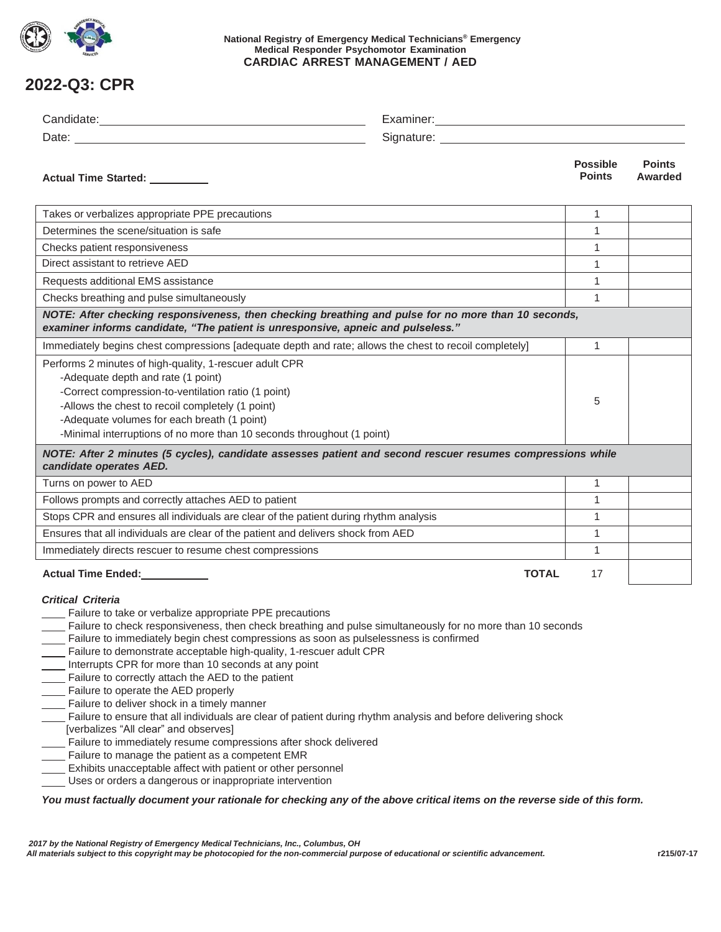

### **National Registry of Emergency Medical Technicians® Emergency Medical Responder Psychomotor Examination CARDIAC ARREST MANAGEMENT / AED**

# **2022-Q3: CPR**

| Actual Time Started: _________                                                                                                                                                                                                                                                                                                                                                                                                                                                                                                                                                                                                                                                                                                                                                                                                                                                                                                                                                                                                                                                                                          |              | <b>Possible</b><br><b>Points</b> | <b>Points</b><br>Awarded |  |  |
|-------------------------------------------------------------------------------------------------------------------------------------------------------------------------------------------------------------------------------------------------------------------------------------------------------------------------------------------------------------------------------------------------------------------------------------------------------------------------------------------------------------------------------------------------------------------------------------------------------------------------------------------------------------------------------------------------------------------------------------------------------------------------------------------------------------------------------------------------------------------------------------------------------------------------------------------------------------------------------------------------------------------------------------------------------------------------------------------------------------------------|--------------|----------------------------------|--------------------------|--|--|
| Takes or verbalizes appropriate PPE precautions                                                                                                                                                                                                                                                                                                                                                                                                                                                                                                                                                                                                                                                                                                                                                                                                                                                                                                                                                                                                                                                                         |              | $\mathbf{1}$                     |                          |  |  |
| Determines the scene/situation is safe                                                                                                                                                                                                                                                                                                                                                                                                                                                                                                                                                                                                                                                                                                                                                                                                                                                                                                                                                                                                                                                                                  |              | 1                                |                          |  |  |
| Checks patient responsiveness                                                                                                                                                                                                                                                                                                                                                                                                                                                                                                                                                                                                                                                                                                                                                                                                                                                                                                                                                                                                                                                                                           |              | 1                                |                          |  |  |
| Direct assistant to retrieve AED                                                                                                                                                                                                                                                                                                                                                                                                                                                                                                                                                                                                                                                                                                                                                                                                                                                                                                                                                                                                                                                                                        |              | 1                                |                          |  |  |
| Requests additional EMS assistance                                                                                                                                                                                                                                                                                                                                                                                                                                                                                                                                                                                                                                                                                                                                                                                                                                                                                                                                                                                                                                                                                      |              | 1                                |                          |  |  |
| Checks breathing and pulse simultaneously                                                                                                                                                                                                                                                                                                                                                                                                                                                                                                                                                                                                                                                                                                                                                                                                                                                                                                                                                                                                                                                                               |              | $\mathbf{1}$                     |                          |  |  |
| NOTE: After checking responsiveness, then checking breathing and pulse for no more than 10 seconds,<br>examiner informs candidate, "The patient is unresponsive, apneic and pulseless."                                                                                                                                                                                                                                                                                                                                                                                                                                                                                                                                                                                                                                                                                                                                                                                                                                                                                                                                 |              |                                  |                          |  |  |
| Immediately begins chest compressions [adequate depth and rate; allows the chest to recoil completely]                                                                                                                                                                                                                                                                                                                                                                                                                                                                                                                                                                                                                                                                                                                                                                                                                                                                                                                                                                                                                  |              | 1                                |                          |  |  |
| Performs 2 minutes of high-quality, 1-rescuer adult CPR<br>-Adequate depth and rate (1 point)<br>-Correct compression-to-ventilation ratio (1 point)<br>-Allows the chest to recoil completely (1 point)<br>-Adequate volumes for each breath (1 point)<br>-Minimal interruptions of no more than 10 seconds throughout (1 point)                                                                                                                                                                                                                                                                                                                                                                                                                                                                                                                                                                                                                                                                                                                                                                                       |              | 5                                |                          |  |  |
| NOTE: After 2 minutes (5 cycles), candidate assesses patient and second rescuer resumes compressions while<br>candidate operates AED.                                                                                                                                                                                                                                                                                                                                                                                                                                                                                                                                                                                                                                                                                                                                                                                                                                                                                                                                                                                   |              |                                  |                          |  |  |
| Turns on power to AED                                                                                                                                                                                                                                                                                                                                                                                                                                                                                                                                                                                                                                                                                                                                                                                                                                                                                                                                                                                                                                                                                                   |              | $\mathbf{1}$                     |                          |  |  |
| Follows prompts and correctly attaches AED to patient                                                                                                                                                                                                                                                                                                                                                                                                                                                                                                                                                                                                                                                                                                                                                                                                                                                                                                                                                                                                                                                                   |              | 1                                |                          |  |  |
| Stops CPR and ensures all individuals are clear of the patient during rhythm analysis                                                                                                                                                                                                                                                                                                                                                                                                                                                                                                                                                                                                                                                                                                                                                                                                                                                                                                                                                                                                                                   |              | $\mathbf{1}$                     |                          |  |  |
| Ensures that all individuals are clear of the patient and delivers shock from AED                                                                                                                                                                                                                                                                                                                                                                                                                                                                                                                                                                                                                                                                                                                                                                                                                                                                                                                                                                                                                                       |              | 1                                |                          |  |  |
| Immediately directs rescuer to resume chest compressions                                                                                                                                                                                                                                                                                                                                                                                                                                                                                                                                                                                                                                                                                                                                                                                                                                                                                                                                                                                                                                                                |              | 1                                |                          |  |  |
| Actual Time Ended:<br><u>Letteral</u>                                                                                                                                                                                                                                                                                                                                                                                                                                                                                                                                                                                                                                                                                                                                                                                                                                                                                                                                                                                                                                                                                   | <b>TOTAL</b> | 17                               |                          |  |  |
| <b>Critical Criteria</b><br>Failure to take or verbalize appropriate PPE precautions<br>Failure to check responsiveness, then check breathing and pulse simultaneously for no more than 10 seconds<br>Failure to immediately begin chest compressions as soon as pulselessness is confirmed<br>Failure to demonstrate acceptable high-quality, 1-rescuer adult CPR<br>Interrupts CPR for more than 10 seconds at any point<br>Failure to correctly attach the AED to the patient<br>____ Failure to operate the AED properly<br>Failure to deliver shock in a timely manner<br>Failure to ensure that all individuals are clear of patient during rhythm analysis and before delivering shock<br>[verbalizes "All clear" and observes]<br>Failure to immediately resume compressions after shock delivered<br>Failure to manage the patient as a competent EMR<br>Exhibits unacceptable affect with patient or other personnel<br>Uses or orders a dangerous or inappropriate intervention<br>You must factually document your rationale for checking any of the above critical items on the reverse side of this form. |              |                                  |                          |  |  |